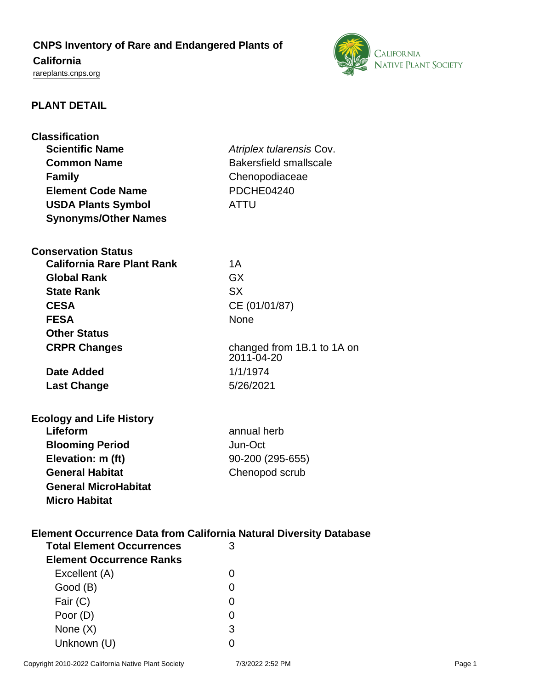# **CNPS Inventory of Rare and Endangered Plants of**

## **California**

<rareplants.cnps.org>



### **PLANT DETAIL**

| <b>Classification</b>                                                     |                               |  |
|---------------------------------------------------------------------------|-------------------------------|--|
| <b>Scientific Name</b>                                                    | Atriplex tularensis Cov.      |  |
| <b>Common Name</b>                                                        | <b>Bakersfield smallscale</b> |  |
| <b>Family</b>                                                             | Chenopodiaceae                |  |
| <b>Element Code Name</b>                                                  | <b>PDCHE04240</b>             |  |
| <b>USDA Plants Symbol</b>                                                 | <b>ATTU</b>                   |  |
| <b>Synonyms/Other Names</b>                                               |                               |  |
|                                                                           |                               |  |
| <b>Conservation Status</b>                                                |                               |  |
| <b>California Rare Plant Rank</b>                                         | 1A                            |  |
| <b>Global Rank</b>                                                        | <b>GX</b>                     |  |
| <b>State Rank</b>                                                         | <b>SX</b>                     |  |
| <b>CESA</b>                                                               | CE (01/01/87)                 |  |
| <b>FESA</b>                                                               | <b>None</b>                   |  |
| <b>Other Status</b>                                                       |                               |  |
| <b>CRPR Changes</b>                                                       | changed from 1B.1 to 1A on    |  |
|                                                                           | 2011-04-20                    |  |
| Date Added                                                                | 1/1/1974                      |  |
| <b>Last Change</b>                                                        | 5/26/2021                     |  |
|                                                                           |                               |  |
| <b>Ecology and Life History</b>                                           |                               |  |
| Lifeform                                                                  | annual herb                   |  |
| <b>Blooming Period</b>                                                    | Jun-Oct                       |  |
| Elevation: m (ft)                                                         | 90-200 (295-655)              |  |
| <b>General Habitat</b>                                                    | Chenopod scrub                |  |
| <b>General MicroHabitat</b>                                               |                               |  |
| <b>Micro Habitat</b>                                                      |                               |  |
|                                                                           |                               |  |
|                                                                           |                               |  |
| <b>Element Occurrence Data from California Natural Diversity Database</b> |                               |  |
| <b>Total Element Occurrences</b>                                          | 3                             |  |
| <b>Element Occurrence Ranks</b>                                           |                               |  |
| Excellent (A)                                                             | $\Omega$                      |  |
| Good (B)                                                                  | 0                             |  |
| Fair (C)                                                                  | 0                             |  |
| Poor (D)                                                                  | 0                             |  |
| None $(X)$                                                                | 3                             |  |
| Unknown (U)                                                               | 0                             |  |

Copyright 2010-2022 California Native Plant Society 7/3/2022 2:52 PM Page 1